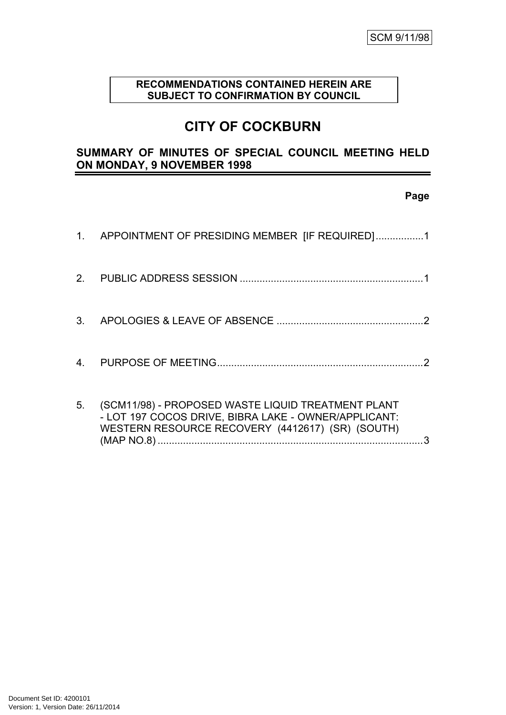**Page**

### **RECOMMENDATIONS CONTAINED HEREIN ARE SUBJECT TO CONFIRMATION BY COUNCIL**

## **CITY OF COCKBURN**

## **SUMMARY OF MINUTES OF SPECIAL COUNCIL MEETING HELD ON MONDAY, 9 NOVEMBER 1998**

|    | 1. APPOINTMENT OF PRESIDING MEMBER [IF REQUIRED]1                                                                                                              |  |
|----|----------------------------------------------------------------------------------------------------------------------------------------------------------------|--|
| 2. |                                                                                                                                                                |  |
| 3. |                                                                                                                                                                |  |
|    |                                                                                                                                                                |  |
| 5. | (SCM11/98) - PROPOSED WASTE LIQUID TREATMENT PLANT<br>- LOT 197 COCOS DRIVE, BIBRA LAKE - OWNER/APPLICANT:<br>WESTERN RESOURCE RECOVERY (4412617) (SR) (SOUTH) |  |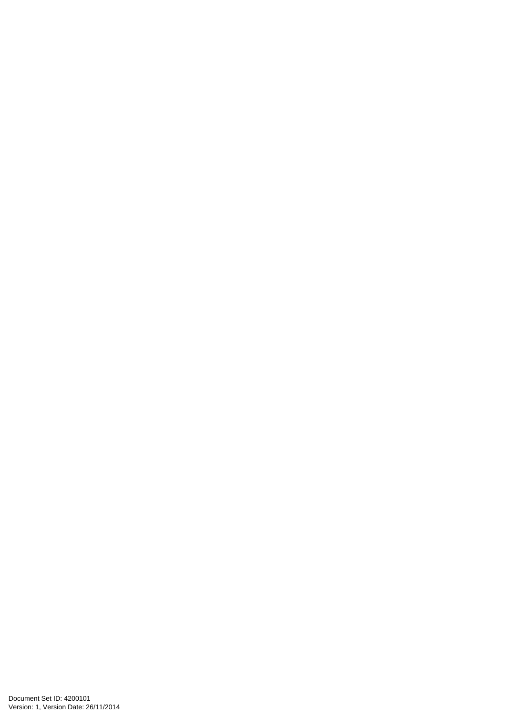Document Set ID: 4200101<br>Version: 1, Version Date: 26/11/2014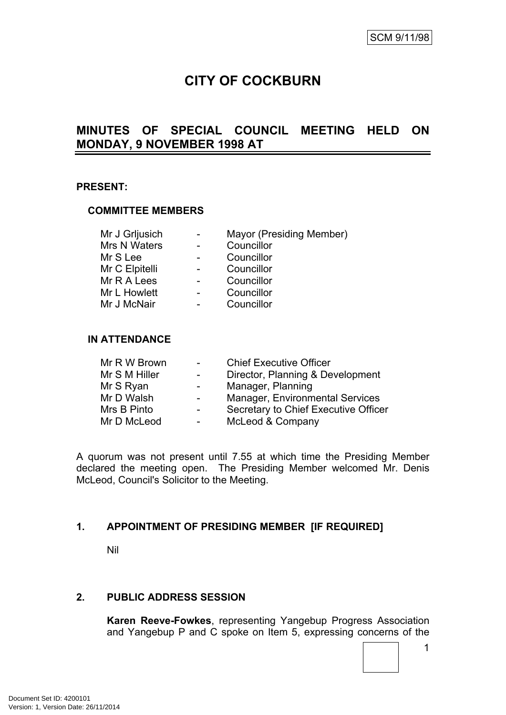# **CITY OF COCKBURN**

## **MINUTES OF SPECIAL COUNCIL MEETING HELD ON MONDAY, 9 NOVEMBER 1998 AT**

#### **PRESENT:**

### **COMMITTEE MEMBERS**

| Mr J Grijusich | Mayor (Presiding Member) |
|----------------|--------------------------|
| Mrs N Waters   | Councillor               |
| Mr S Lee       | Councillor               |
| Mr C Elpitelli | Councillor               |
| Mr R A Lees    | Councillor               |
| Mr L Howlett   | Councillor               |
| Mr J McNair    | Councillor               |

### **IN ATTENDANCE**

| Mr R W Brown  | $\sim$ 100 $\mu$ | <b>Chief Executive Officer</b>       |
|---------------|------------------|--------------------------------------|
| Mr S M Hiller | $\sim$           | Director, Planning & Development     |
| Mr S Ryan     |                  | Manager, Planning                    |
| Mr D Walsh    |                  | Manager, Environmental Services      |
| Mrs B Pinto   | $\sim$           | Secretary to Chief Executive Officer |
| Mr D McLeod   |                  | McLeod & Company                     |

A quorum was not present until 7.55 at which time the Presiding Member declared the meeting open. The Presiding Member welcomed Mr. Denis McLeod, Council's Solicitor to the Meeting.

### <span id="page-2-0"></span>**1. APPOINTMENT OF PRESIDING MEMBER [IF REQUIRED]**

Nil

### <span id="page-2-1"></span>**2. PUBLIC ADDRESS SESSION**

**Karen Reeve-Fowkes**, representing Yangebup Progress Association and Yangebup P and C spoke on Item 5, expressing concerns of the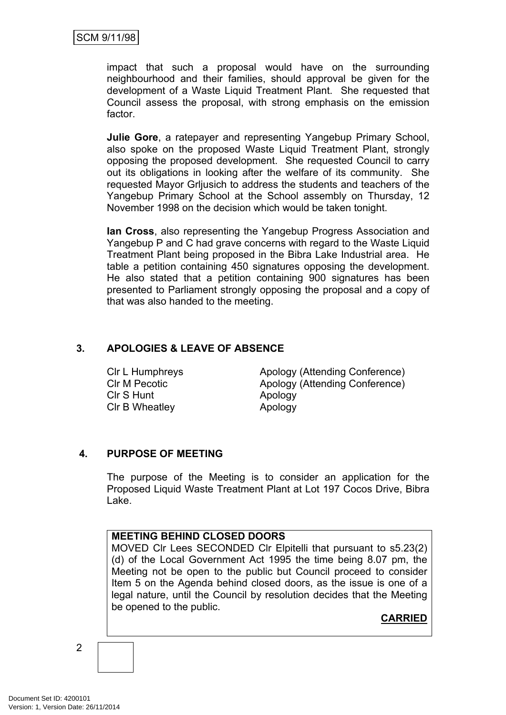impact that such a proposal would have on the surrounding neighbourhood and their families, should approval be given for the development of a Waste Liquid Treatment Plant. She requested that Council assess the proposal, with strong emphasis on the emission factor.

**Julie Gore**, a ratepayer and representing Yangebup Primary School, also spoke on the proposed Waste Liquid Treatment Plant, strongly opposing the proposed development. She requested Council to carry out its obligations in looking after the welfare of its community. She requested Mayor Grljusich to address the students and teachers of the Yangebup Primary School at the School assembly on Thursday, 12 November 1998 on the decision which would be taken tonight.

**Ian Cross**, also representing the Yangebup Progress Association and Yangebup P and C had grave concerns with regard to the Waste Liquid Treatment Plant being proposed in the Bibra Lake Industrial area. He table a petition containing 450 signatures opposing the development. He also stated that a petition containing 900 signatures has been presented to Parliament strongly opposing the proposal and a copy of that was also handed to the meeting.

## <span id="page-3-0"></span>**3. APOLOGIES & LEAVE OF ABSENCE**

Clr S Hunt Apology Clr B Wheatley **Apology** 

Clr L Humphreys Apology (Attending Conference) Clr M Pecotic **Apology (Attending Conference)** 

## <span id="page-3-1"></span>**4. PURPOSE OF MEETING**

The purpose of the Meeting is to consider an application for the Proposed Liquid Waste Treatment Plant at Lot 197 Cocos Drive, Bibra Lake.

### **MEETING BEHIND CLOSED DOORS**

MOVED Clr Lees SECONDED Clr Elpitelli that pursuant to s5.23(2) (d) of the Local Government Act 1995 the time being 8.07 pm, the Meeting not be open to the public but Council proceed to consider Item 5 on the Agenda behind closed doors, as the issue is one of a legal nature, until the Council by resolution decides that the Meeting be opened to the public.

**CARRIED**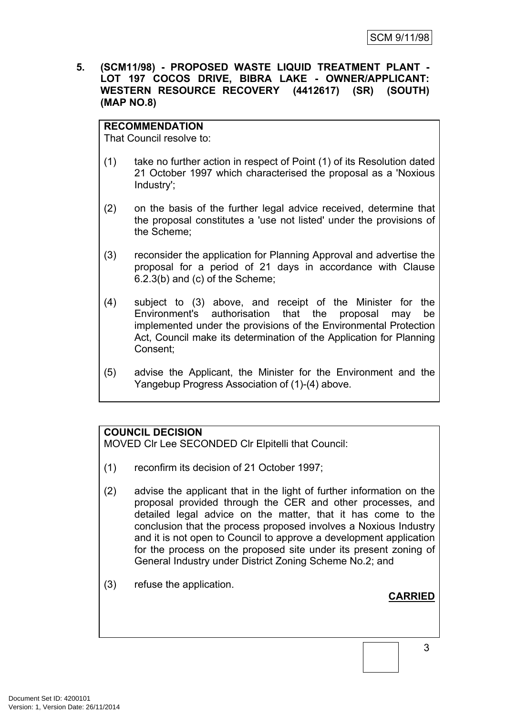<span id="page-4-0"></span>**5. (SCM11/98) - PROPOSED WASTE LIQUID TREATMENT PLANT - LOT 197 COCOS DRIVE, BIBRA LAKE - OWNER/APPLICANT: WESTERN RESOURCE RECOVERY (4412617) (SR) (SOUTH) (MAP NO.8)**

## **RECOMMENDATION**

That Council resolve to:

- (1) take no further action in respect of Point (1) of its Resolution dated 21 October 1997 which characterised the proposal as a 'Noxious Industry';
- (2) on the basis of the further legal advice received, determine that the proposal constitutes a 'use not listed' under the provisions of the Scheme;
- (3) reconsider the application for Planning Approval and advertise the proposal for a period of 21 days in accordance with Clause 6.2.3(b) and (c) of the Scheme;
- (4) subject to (3) above, and receipt of the Minister for the Environment's authorisation that the proposal may be implemented under the provisions of the Environmental Protection Act, Council make its determination of the Application for Planning Consent;
- (5) advise the Applicant, the Minister for the Environment and the Yangebup Progress Association of (1)-(4) above.

## **COUNCIL DECISION**

MOVED Clr Lee SECONDED Clr Elpitelli that Council:

- (1) reconfirm its decision of 21 October 1997;
- (2) advise the applicant that in the light of further information on the proposal provided through the CER and other processes, and detailed legal advice on the matter, that it has come to the conclusion that the process proposed involves a Noxious Industry and it is not open to Council to approve a development application for the process on the proposed site under its present zoning of General Industry under District Zoning Scheme No.2; and
- (3) refuse the application.

**CARRIED**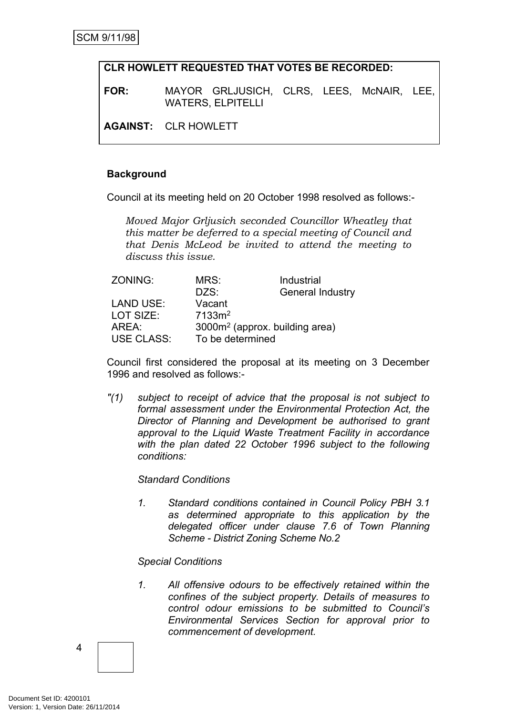## **CLR HOWLETT REQUESTED THAT VOTES BE RECORDED:**

**FOR:** MAYOR GRLJUSICH, CLRS, LEES, McNAIR, LEE, WATERS, ELPITELLI

**AGAINST:** CLR HOWLETT

## **Background**

Council at its meeting held on 20 October 1998 resolved as follows:-

*Moved Major Grljusich seconded Councillor Wheatley that this matter be deferred to a special meeting of Council and that Denis McLeod be invited to attend the meeting to discuss this issue.*

| ZONING:           | MRS:                                       | Industrial              |
|-------------------|--------------------------------------------|-------------------------|
|                   | DZS:                                       | <b>General Industry</b> |
| <b>LAND USE:</b>  | Vacant                                     |                         |
| LOT SIZE:         | 7133m <sup>2</sup>                         |                         |
| AREA:             | 3000m <sup>2</sup> (approx. building area) |                         |
| <b>USE CLASS:</b> | To be determined                           |                         |

Council first considered the proposal at its meeting on 3 December 1996 and resolved as follows:-

*"(1) subject to receipt of advice that the proposal is not subject to formal assessment under the Environmental Protection Act, the Director of Planning and Development be authorised to grant approval to the Liquid Waste Treatment Facility in accordance with the plan dated 22 October 1996 subject to the following conditions:*

*Standard Conditions*

*1. Standard conditions contained in Council Policy PBH 3.1 as determined appropriate to this application by the delegated officer under clause 7.6 of Town Planning Scheme - District Zoning Scheme No.2*

### *Special Conditions*

*1. All offensive odours to be effectively retained within the confines of the subject property. Details of measures to control odour emissions to be submitted to Council's Environmental Services Section for approval prior to commencement of development.*

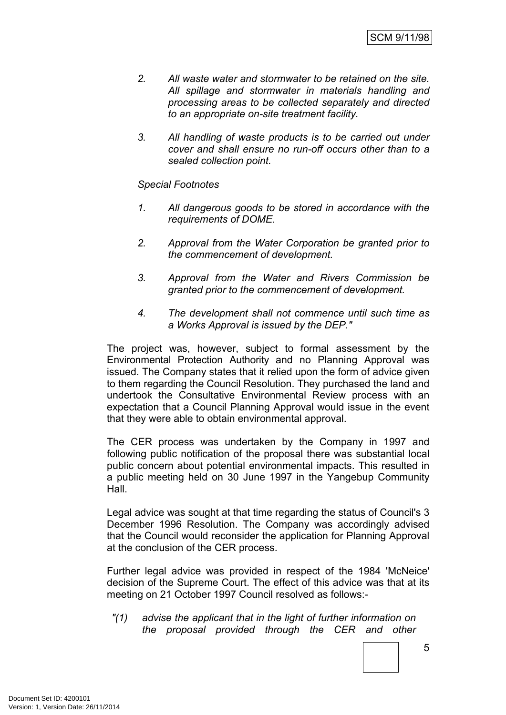- *2. All waste water and stormwater to be retained on the site. All spillage and stormwater in materials handling and processing areas to be collected separately and directed to an appropriate on-site treatment facility.*
- *3. All handling of waste products is to be carried out under cover and shall ensure no run-off occurs other than to a sealed collection point.*

## *Special Footnotes*

- *1. All dangerous goods to be stored in accordance with the requirements of DOME.*
- *2. Approval from the Water Corporation be granted prior to the commencement of development.*
- *3. Approval from the Water and Rivers Commission be granted prior to the commencement of development.*
- *4. The development shall not commence until such time as a Works Approval is issued by the DEP."*

The project was, however, subject to formal assessment by the Environmental Protection Authority and no Planning Approval was issued. The Company states that it relied upon the form of advice given to them regarding the Council Resolution. They purchased the land and undertook the Consultative Environmental Review process with an expectation that a Council Planning Approval would issue in the event that they were able to obtain environmental approval.

The CER process was undertaken by the Company in 1997 and following public notification of the proposal there was substantial local public concern about potential environmental impacts. This resulted in a public meeting held on 30 June 1997 in the Yangebup Community Hall.

Legal advice was sought at that time regarding the status of Council's 3 December 1996 Resolution. The Company was accordingly advised that the Council would reconsider the application for Planning Approval at the conclusion of the CER process.

Further legal advice was provided in respect of the 1984 'McNeice' decision of the Supreme Court. The effect of this advice was that at its meeting on 21 October 1997 Council resolved as follows:-

*"(1) advise the applicant that in the light of further information on the proposal provided through the CER and other*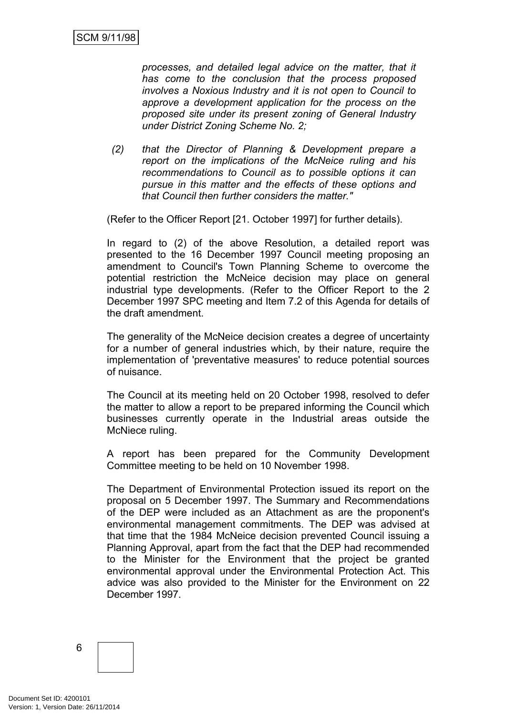*processes, and detailed legal advice on the matter, that it has come to the conclusion that the process proposed involves a Noxious Industry and it is not open to Council to approve a development application for the process on the proposed site under its present zoning of General Industry under District Zoning Scheme No. 2;*

*(2) that the Director of Planning & Development prepare a report on the implications of the McNeice ruling and his recommendations to Council as to possible options it can pursue in this matter and the effects of these options and that Council then further considers the matter."*

(Refer to the Officer Report [21. October 1997] for further details).

In regard to (2) of the above Resolution, a detailed report was presented to the 16 December 1997 Council meeting proposing an amendment to Council's Town Planning Scheme to overcome the potential restriction the McNeice decision may place on general industrial type developments. (Refer to the Officer Report to the 2 December 1997 SPC meeting and Item 7.2 of this Agenda for details of the draft amendment.

The generality of the McNeice decision creates a degree of uncertainty for a number of general industries which, by their nature, require the implementation of 'preventative measures' to reduce potential sources of nuisance.

The Council at its meeting held on 20 October 1998, resolved to defer the matter to allow a report to be prepared informing the Council which businesses currently operate in the Industrial areas outside the McNiece ruling.

A report has been prepared for the Community Development Committee meeting to be held on 10 November 1998.

The Department of Environmental Protection issued its report on the proposal on 5 December 1997. The Summary and Recommendations of the DEP were included as an Attachment as are the proponent's environmental management commitments. The DEP was advised at that time that the 1984 McNeice decision prevented Council issuing a Planning Approval, apart from the fact that the DEP had recommended to the Minister for the Environment that the project be granted environmental approval under the Environmental Protection Act. This advice was also provided to the Minister for the Environment on 22 December 1997.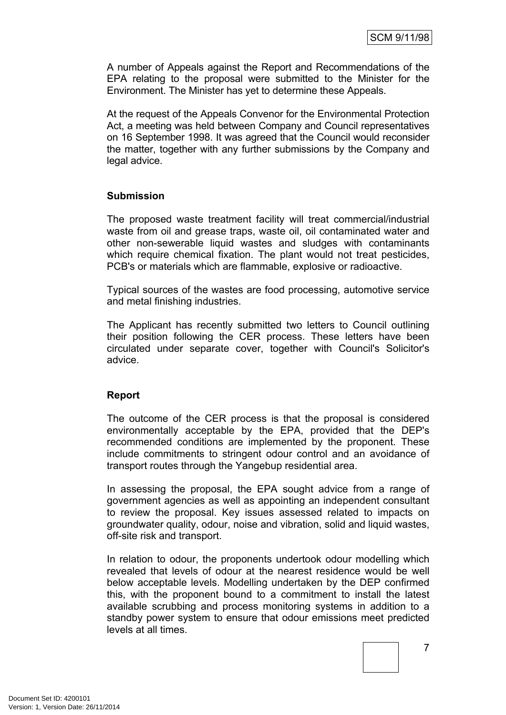A number of Appeals against the Report and Recommendations of the EPA relating to the proposal were submitted to the Minister for the Environment. The Minister has yet to determine these Appeals.

At the request of the Appeals Convenor for the Environmental Protection Act, a meeting was held between Company and Council representatives on 16 September 1998. It was agreed that the Council would reconsider the matter, together with any further submissions by the Company and legal advice.

## **Submission**

The proposed waste treatment facility will treat commercial/industrial waste from oil and grease traps, waste oil, oil contaminated water and other non-sewerable liquid wastes and sludges with contaminants which require chemical fixation. The plant would not treat pesticides, PCB's or materials which are flammable, explosive or radioactive.

Typical sources of the wastes are food processing, automotive service and metal finishing industries.

The Applicant has recently submitted two letters to Council outlining their position following the CER process. These letters have been circulated under separate cover, together with Council's Solicitor's advice.

## **Report**

The outcome of the CER process is that the proposal is considered environmentally acceptable by the EPA, provided that the DEP's recommended conditions are implemented by the proponent. These include commitments to stringent odour control and an avoidance of transport routes through the Yangebup residential area.

In assessing the proposal, the EPA sought advice from a range of government agencies as well as appointing an independent consultant to review the proposal. Key issues assessed related to impacts on groundwater quality, odour, noise and vibration, solid and liquid wastes, off-site risk and transport.

In relation to odour, the proponents undertook odour modelling which revealed that levels of odour at the nearest residence would be well below acceptable levels. Modelling undertaken by the DEP confirmed this, with the proponent bound to a commitment to install the latest available scrubbing and process monitoring systems in addition to a standby power system to ensure that odour emissions meet predicted levels at all times.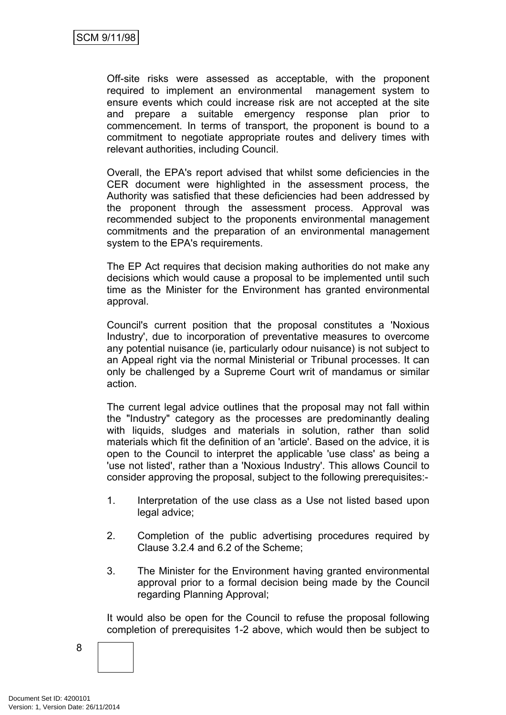Off-site risks were assessed as acceptable, with the proponent required to implement an environmental management system to ensure events which could increase risk are not accepted at the site and prepare a suitable emergency response plan prior to commencement. In terms of transport, the proponent is bound to a commitment to negotiate appropriate routes and delivery times with relevant authorities, including Council.

Overall, the EPA's report advised that whilst some deficiencies in the CER document were highlighted in the assessment process, the Authority was satisfied that these deficiencies had been addressed by the proponent through the assessment process. Approval was recommended subject to the proponents environmental management commitments and the preparation of an environmental management system to the EPA's requirements.

The EP Act requires that decision making authorities do not make any decisions which would cause a proposal to be implemented until such time as the Minister for the Environment has granted environmental approval.

Council's current position that the proposal constitutes a 'Noxious Industry', due to incorporation of preventative measures to overcome any potential nuisance (ie, particularly odour nuisance) is not subject to an Appeal right via the normal Ministerial or Tribunal processes. It can only be challenged by a Supreme Court writ of mandamus or similar action.

The current legal advice outlines that the proposal may not fall within the "Industry" category as the processes are predominantly dealing with liquids, sludges and materials in solution, rather than solid materials which fit the definition of an 'article'. Based on the advice, it is open to the Council to interpret the applicable 'use class' as being a 'use not listed', rather than a 'Noxious Industry'. This allows Council to consider approving the proposal, subject to the following prerequisites:-

- 1. Interpretation of the use class as a Use not listed based upon legal advice;
- 2. Completion of the public advertising procedures required by Clause 3.2.4 and 6.2 of the Scheme;
- 3. The Minister for the Environment having granted environmental approval prior to a formal decision being made by the Council regarding Planning Approval;

It would also be open for the Council to refuse the proposal following completion of prerequisites 1-2 above, which would then be subject to